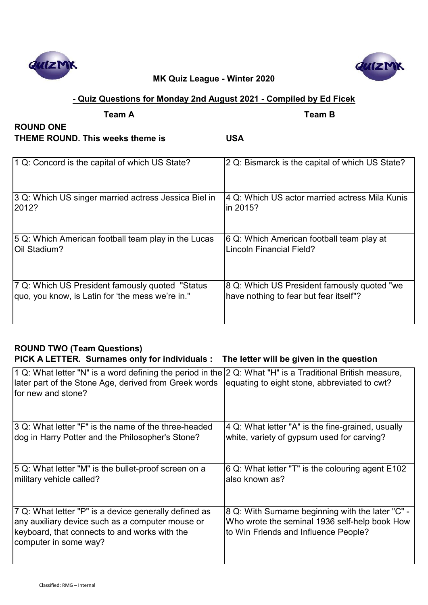

## **- Quiz Questions for Monday 2nd August 2021 - Compiled by Ed Ficek**

**Team A Team B**

**ROUND ONE THEME ROUND. This weeks theme is USA**

| 1 Q: Concord is the capital of which US State?       | 2 Q: Bismarck is the capital of which US State? |
|------------------------------------------------------|-------------------------------------------------|
| 3 Q: Which US singer married actress Jessica Biel in | 4 Q: Which US actor married actress Mila Kunis  |
| 2012?                                                | lin 2015?                                       |
| 5 Q: Which American football team play in the Lucas  | 6 Q: Which American football team play at       |
| Oil Stadium?                                         | <b>Lincoln Financial Field?</b>                 |
| 7 Q: Which US President famously quoted "Status"     | 8 Q: Which US President famously quoted "we     |
| quo, you know, is Latin for 'the mess we're in."     | have nothing to fear but fear itself"?          |

# **ROUND TWO (Team Questions)**

**PICK A LETTER. Surnames only for individuals : The letter will be given in the question**

| 1 Q: What letter "N" is a word defining the period in the 2 Q: What "H" is a Traditional British measure,<br>later part of the Stone Age, derived from Greek words<br>for new and stone? | equating to eight stone, abbreviated to cwt?                                                                                              |
|------------------------------------------------------------------------------------------------------------------------------------------------------------------------------------------|-------------------------------------------------------------------------------------------------------------------------------------------|
| 3 Q: What letter "F" is the name of the three-headed                                                                                                                                     | 4 Q: What letter "A" is the fine-grained, usually                                                                                         |
| dog in Harry Potter and the Philosopher's Stone?                                                                                                                                         | white, variety of gypsum used for carving?                                                                                                |
| 5 Q: What letter "M" is the bullet-proof screen on a                                                                                                                                     | 6 Q: What letter "T" is the colouring agent E102                                                                                          |
| military vehicle called?                                                                                                                                                                 | also known as?                                                                                                                            |
| 7 Q: What letter "P" is a device generally defined as<br>any auxiliary device such as a computer mouse or<br>keyboard, that connects to and works with the<br>computer in some way?      | 8 Q: With Surname beginning with the later "C" -<br>Who wrote the seminal 1936 self-help book How<br>to Win Friends and Influence People? |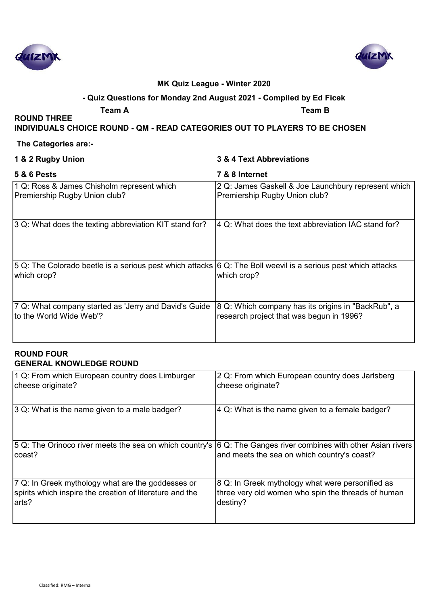



## **- Quiz Questions for Monday 2nd August 2021 - Compiled by Ed Ficek**

**ROUND THREE** 

**Team A Team B**

**INDIVIDUALS CHOICE ROUND - QM - READ CATEGORIES OUT TO PLAYERS TO BE CHOSEN**

### **The Categories are:-**

| 1 & 2 Rugby Union                                                           | 3 & 4 Text Abbreviations                                                             |
|-----------------------------------------------------------------------------|--------------------------------------------------------------------------------------|
| <b>5 &amp; 6 Pests</b>                                                      | 7 & 8 Internet                                                                       |
| 1 Q: Ross & James Chisholm represent which<br>Premiership Rugby Union club? | 2 Q: James Gaskell & Joe Launchbury represent which<br>Premiership Rugby Union club? |

| 3 Q: What does the texting abbreviation KIT stand for?                                                                       | 4 Q: What does the text abbreviation IAC stand for?                                            |
|------------------------------------------------------------------------------------------------------------------------------|------------------------------------------------------------------------------------------------|
| 5 Q: The Colorado beetle is a serious pest which attacks 6 Q: The Boll weevil is a serious pest which attacks<br>which crop? | which crop?                                                                                    |
| 7 Q: What company started as 'Jerry and David's Guide<br>to the World Wide Web'?                                             | 8 Q: Which company has its origins in "BackRub", a<br>research project that was begun in 1996? |

#### **ROUND FOUR GENERAL KNOWLEDGE ROUND**

| 1 Q: From which European country does Limburger          | 2 Q: From which European country does Jarlsberg        |
|----------------------------------------------------------|--------------------------------------------------------|
| cheese originate?                                        | cheese originate?                                      |
| 3 Q: What is the name given to a male badger?            | 4 Q: What is the name given to a female badger?        |
| 5 Q: The Orinoco river meets the sea on which country's  | 6 Q: The Ganges river combines with other Asian rivers |
| coast?                                                   | and meets the sea on which country's coast?            |
| 7 Q: In Greek mythology what are the goddesses or        | 8 Q: In Greek mythology what were personified as       |
| spirits which inspire the creation of literature and the | three very old women who spin the threads of human     |
| arts?                                                    | destiny?                                               |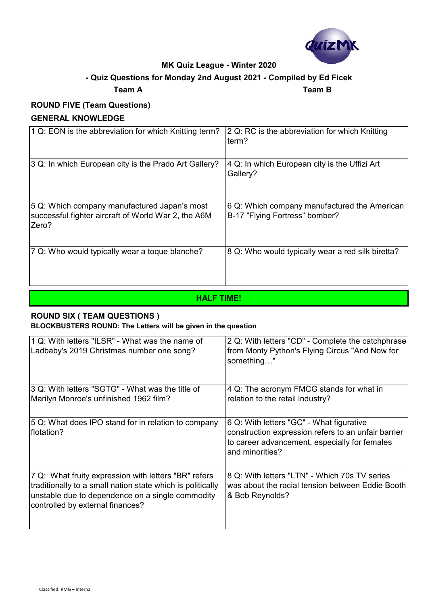

# **- Quiz Questions for Monday 2nd August 2021 - Compiled by Ed Ficek**

### **Team A Team B**

## **ROUND FIVE (Team Questions)**

## **GENERAL KNOWLEDGE**

| 1 Q: EON is the abbreviation for which Knitting term?                                                        | 2 Q: RC is the abbreviation for which Knitting<br>term?                        |
|--------------------------------------------------------------------------------------------------------------|--------------------------------------------------------------------------------|
| 3 Q: In which European city is the Prado Art Gallery?                                                        | 4 Q: In which European city is the Uffizi Art<br>Gallery?                      |
| 5 Q: Which company manufactured Japan's most<br>successful fighter aircraft of World War 2, the A6M<br>Zero? | 6 Q: Which company manufactured the American<br>B-17 "Flying Fortress" bomber? |
| 7 Q: Who would typically wear a toque blanche?                                                               | 8 Q: Who would typically wear a red silk biretta?                              |

## **HALF TIME!**

# **ROUND SIX ( TEAM QUESTIONS )**

**BLOCKBUSTERS ROUND: The Letters will be given in the question**

| 1 Q: With letters "ILSR" - What was the name of<br>Ladbaby's 2019 Christmas number one song?                                                                                                               | 2 Q: With letters "CD" - Complete the catchphrase<br>from Monty Python's Flying Circus "And Now for<br>something"                                                   |
|------------------------------------------------------------------------------------------------------------------------------------------------------------------------------------------------------------|---------------------------------------------------------------------------------------------------------------------------------------------------------------------|
| 3 Q: With letters "SGTG" - What was the title of<br>Marilyn Monroe's unfinished 1962 film?                                                                                                                 | 4 Q: The acronym FMCG stands for what in<br>relation to the retail industry?                                                                                        |
| 5 Q: What does IPO stand for in relation to company<br>lflotation?                                                                                                                                         | 6 Q: With letters "GC" - What figurative<br>construction expression refers to an unfair barrier<br>to career advancement, especially for females<br>and minorities? |
| 7 Q: What fruity expression with letters "BR" refers<br>traditionally to a small nation state which is politically<br>unstable due to dependence on a single commodity<br>controlled by external finances? | 8 Q: With letters "LTN" - Which 70s TV series<br>was about the racial tension between Eddie Booth<br>& Bob Reynolds?                                                |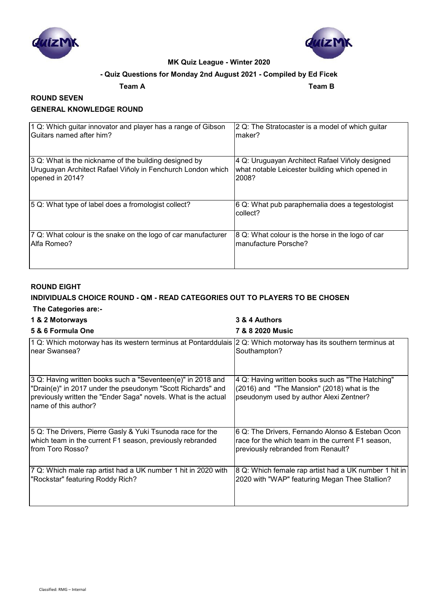



## **- Quiz Questions for Monday 2nd August 2021 - Compiled by Ed Ficek**

**Team A Team B**

## **ROUND SEVEN GENERAL KNOWLEDGE ROUND**

| 1 Q: Which guitar innovator and player has a range of Gibson  | 2 Q: The Stratocaster is a model of which guitar             |
|---------------------------------------------------------------|--------------------------------------------------------------|
| Guitars named after him?                                      | maker?                                                       |
| 3 Q: What is the nickname of the building designed by         | 4 Q: Uruguayan Architect Rafael Viñoly designed              |
| Uruguayan Architect Rafael Viñoly in Fenchurch London which   | what notable Leicester building which opened in              |
| opened in 2014?                                               | 2008?                                                        |
| 5 Q: What type of label does a fromologist collect?           | 6 Q: What pub paraphernalia does a tegestologist<br>collect? |
| 7 Q: What colour is the snake on the logo of car manufacturer | 8 Q: What colour is the horse in the logo of car             |
| Alfa Romeo?                                                   | manufacture Porsche?                                         |

#### **ROUND EIGHT**

## **INDIVIDUALS CHOICE ROUND - QM - READ CATEGORIES OUT TO PLAYERS TO BE CHOSEN The Categories are:-**

## **1 & 2 Motorways 3 & 4 Authors**

| 5 & 6 Formula One                                                                                                                                                                                                    | 7 & 8 2020 Music                                                                                                                           |
|----------------------------------------------------------------------------------------------------------------------------------------------------------------------------------------------------------------------|--------------------------------------------------------------------------------------------------------------------------------------------|
| 1 Q: Which motorway has its western terminus at Pontarddulais                                                                                                                                                        | 2 Q: Which motorway has its southern terminus at                                                                                           |
| near Swansea?                                                                                                                                                                                                        | Southampton?                                                                                                                               |
| 3 Q: Having written books such a "Seventeen(e)" in 2018 and<br>"Drain(e)" in 2017 under the pseudonym "Scott Richards" and<br>previously written the "Ender Saga" novels. What is the actual<br>name of this author? | 4 Q: Having written books such as "The Hatching"<br>(2016) and "The Mansion" (2018) what is the<br>pseudonym used by author Alexi Zentner? |
| 5 Q: The Drivers, Pierre Gasly & Yuki Tsunoda race for the                                                                                                                                                           | 6 Q: The Drivers, Fernando Alonso & Esteban Ocon                                                                                           |
| which team in the current F1 season, previously rebranded                                                                                                                                                            | race for the which team in the current F1 season,                                                                                          |
| lfrom Toro Rosso?                                                                                                                                                                                                    | previously rebranded from Renault?                                                                                                         |
| 7 Q: Which male rap artist had a UK number 1 hit in 2020 with                                                                                                                                                        | 8 Q: Which female rap artist had a UK number 1 hit in                                                                                      |
| "Rockstar" featuring Roddy Rich?                                                                                                                                                                                     | 2020 with "WAP" featuring Megan Thee Stallion?                                                                                             |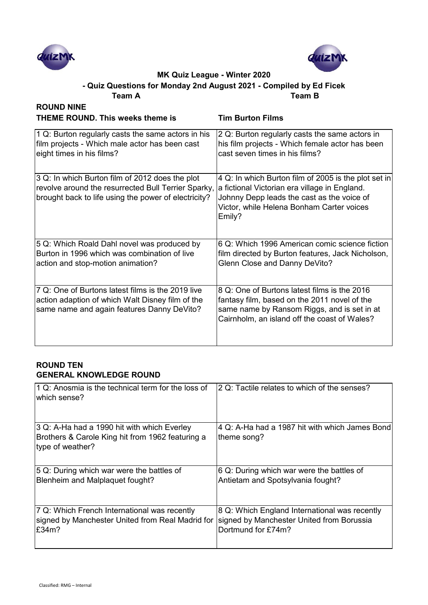



## **Team A Team B - Quiz Questions for Monday 2nd August 2021 - Compiled by Ed Ficek**

| <b>ROUND NINE</b>                                                                                                                                              |                                                                                                                                                                                                            |
|----------------------------------------------------------------------------------------------------------------------------------------------------------------|------------------------------------------------------------------------------------------------------------------------------------------------------------------------------------------------------------|
| <b>THEME ROUND. This weeks theme is</b>                                                                                                                        | <b>Tim Burton Films</b>                                                                                                                                                                                    |
| 1 Q: Burton regularly casts the same actors in his<br>film projects - Which male actor has been cast<br>eight times in his films?                              | 2 Q: Burton regularly casts the same actors in<br>his film projects - Which female actor has been<br>cast seven times in his films?                                                                        |
| 3 Q: In which Burton film of 2012 does the plot<br>revolve around the resurrected Bull Terrier Sparky,<br>brought back to life using the power of electricity? | 4 Q: In which Burton film of 2005 is the plot set in<br>a fictional Victorian era village in England.<br>Johnny Depp leads the cast as the voice of<br>Victor, while Helena Bonham Carter voices<br>Emily? |
| 5 Q: Which Roald Dahl novel was produced by<br>Burton in 1996 which was combination of live<br>action and stop-motion animation?                               | 6 Q: Which 1996 American comic science fiction<br>film directed by Burton features, Jack Nicholson,<br>Glenn Close and Danny DeVito?                                                                       |
| 7 Q: One of Burtons latest films is the 2019 live<br>action adaption of which Walt Disney film of the<br>same name and again features Danny DeVito?            | 8 Q: One of Burtons latest films is the 2016<br>fantasy film, based on the 2011 novel of the<br>same name by Ransom Riggs, and is set in at<br>Cairnholm, an island off the coast of Wales?                |

## **ROUND TEN GENERAL KNOWLEDGE ROUND**

| 1 Q: Anosmia is the technical term for the loss of<br>which sense?                                                  | 2 Q: Tactile relates to which of the senses?                  |
|---------------------------------------------------------------------------------------------------------------------|---------------------------------------------------------------|
| 3 Q: A-Ha had a 1990 hit with which Everley<br>Brothers & Carole King hit from 1962 featuring a<br>type of weather? | 4 Q: A-Ha had a 1987 hit with which James Bond<br>theme song? |
| 5 Q: During which war were the battles of                                                                           | 6 Q: During which war were the battles of                     |
| Blenheim and Malplaquet fought?                                                                                     | Antietam and Spotsylvania fought?                             |
| 7 Q: Which French International was recently                                                                        | 8 Q: Which England International was recently                 |
| signed by Manchester United from Real Madrid for                                                                    | signed by Manchester United from Borussia                     |
| £34m?                                                                                                               | Dortmund for £74m?                                            |